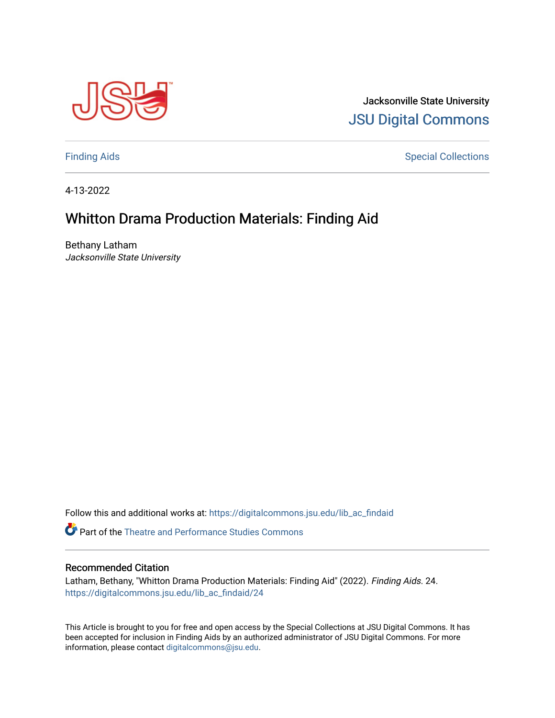

Jacksonville State University [JSU Digital Commons](https://digitalcommons.jsu.edu/) 

[Finding Aids](https://digitalcommons.jsu.edu/lib_ac_findaid) **Special Collections** 

4-13-2022

# Whitton Drama Production Materials: Finding Aid

Bethany Latham Jacksonville State University

Follow this and additional works at: [https://digitalcommons.jsu.edu/lib\\_ac\\_findaid](https://digitalcommons.jsu.edu/lib_ac_findaid?utm_source=digitalcommons.jsu.edu%2Flib_ac_findaid%2F24&utm_medium=PDF&utm_campaign=PDFCoverPages) 

**P** Part of the Theatre and Performance Studies Commons

### Recommended Citation

Latham, Bethany, "Whitton Drama Production Materials: Finding Aid" (2022). Finding Aids. 24. [https://digitalcommons.jsu.edu/lib\\_ac\\_findaid/24](https://digitalcommons.jsu.edu/lib_ac_findaid/24?utm_source=digitalcommons.jsu.edu%2Flib_ac_findaid%2F24&utm_medium=PDF&utm_campaign=PDFCoverPages) 

This Article is brought to you for free and open access by the Special Collections at JSU Digital Commons. It has been accepted for inclusion in Finding Aids by an authorized administrator of JSU Digital Commons. For more information, please contact [digitalcommons@jsu.edu](mailto:digitalcommons@jsu.edu).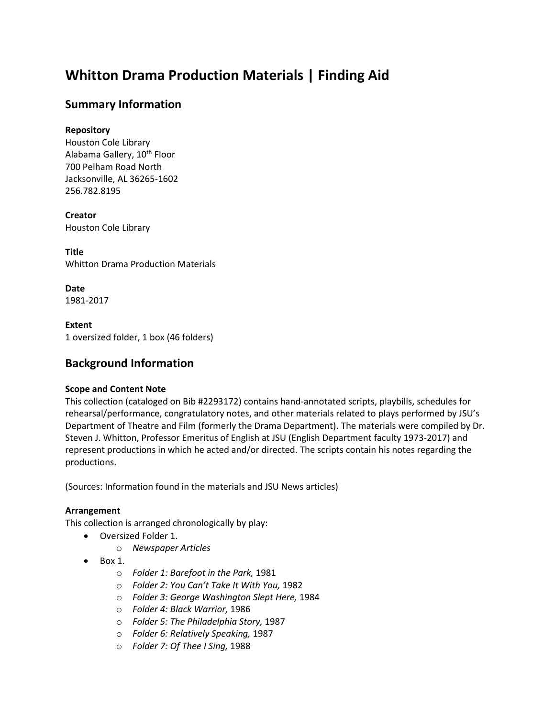# **Whitton Drama Production Materials | Finding Aid**

# **Summary Information**

## **Repository**

Houston Cole Library Alabama Gallery, 10<sup>th</sup> Floor 700 Pelham Road North Jacksonville, AL 36265-1602 256.782.8195

**Creator** Houston Cole Library

**Title** Whitton Drama Production Materials

**Date** 1981-2017

**Extent** 1 oversized folder, 1 box (46 folders)

# **Background Information**

## **Scope and Content Note**

This collection (cataloged on Bib #2293172) contains hand-annotated scripts, playbills, schedules for rehearsal/performance, congratulatory notes, and other materials related to plays performed by JSU's Department of Theatre and Film (formerly the Drama Department). The materials were compiled by Dr. Steven J. Whitton, Professor Emeritus of English at JSU (English Department faculty 1973-2017) and represent productions in which he acted and/or directed. The scripts contain his notes regarding the productions.

(Sources: Information found in the materials and JSU News articles)

### **Arrangement**

This collection is arranged chronologically by play:

- Oversized Folder 1.
	- o *Newspaper Articles*
- $\bullet$  Box 1.
	- o *Folder 1: Barefoot in the Park,* 1981
	- o *Folder 2: You Can't Take It With You,* 1982
	- o *Folder 3: George Washington Slept Here,* 1984
	- o *Folder 4: Black Warrior,* 1986
	- o *Folder 5: The Philadelphia Story,* 1987
	- o *Folder 6: Relatively Speaking,* 1987
	- o *Folder 7: Of Thee I Sing,* 1988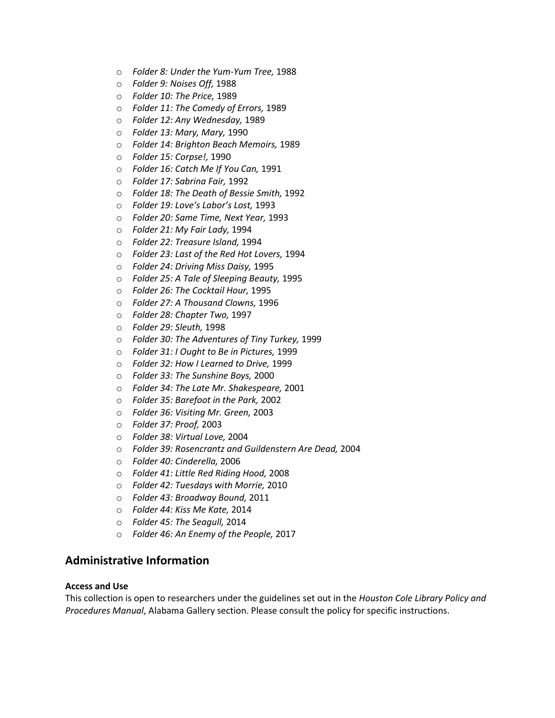- o *Folder 8: Under the Yum-Yum Tree,* 1988
- o *Folder 9: Noises Off,* 1988
- o *Folder 10: The Price,* 1989
- o *Folder 11: The Comedy of Errors,* 1989
- o *Folder 12: Any Wednesday,* 1989
- o *Folder 13: Mary, Mary,* 1990
- o *Folder 14: Brighton Beach Memoirs,* 1989
- o *Folder 15: Corpse!,* 1990
- o *Folder 16: Catch Me If You Can,* 1991
- o *Folder 17: Sabrina Fair,* 1992
- o *Folder 18: The Death of Bessie Smith,* 1992
- o *Folder 19: Love's Labor's Lost,* 1993
- o *Folder 20: Same Time, Next Year,* 1993
- o *Folder 21: My Fair Lady,* 1994
- o *Folder 22: Treasure Island,* 1994
- o *Folder 23: Last of the Red Hot Lovers,* 1994
- o *Folder 24: Driving Miss Daisy,* 1995
- o *Folder 25: A Tale of Sleeping Beauty,* 1995
- o *Folder 26: The Cocktail Hour,* 1995
- o *Folder 27: A Thousand Clowns,* 1996
- o *Folder 28: Chapter Two,* 1997
- o *Folder 29: Sleuth,* 1998
- o *Folder 30: The Adventures of Tiny Turkey,* 1999
- o *Folder 31: I Ought to Be in Pictures,* 1999
- o *Folder 32: How I Learned to Drive,* 1999
- o *Folder 33: The Sunshine Boys,* 2000
- o *Folder 34: The Late Mr. Shakespeare,* 2001
- o *Folder 35: Barefoot in the Park,* 2002
- o *Folder 36: Visiting Mr. Green,* 2003
- o *Folder 37: Proof,* 2003
- o *Folder 38: Virtual Love,* 2004
- o *Folder 39: Rosencrantz and Guildenstern Are Dead,* 2004
- o *Folder 40: Cinderella,* 2006
- o *Folder 41: Little Red Riding Hood,* 2008
- o *Folder 42: Tuesdays with Morrie,* 2010
- o *Folder 43: Broadway Bound,* 2011
- o *Folder 44: Kiss Me Kate,* 2014
- o *Folder 45: The Seagull,* 2014
- o *Folder 46: An Enemy of the People,* 2017

## **Administrative Information**

#### **Access and Use**

This collection is open to researchers under the guidelines set out in the *Houston Cole Library Policy and Procedures Manual*, Alabama Gallery section. Please consult the policy for specific instructions.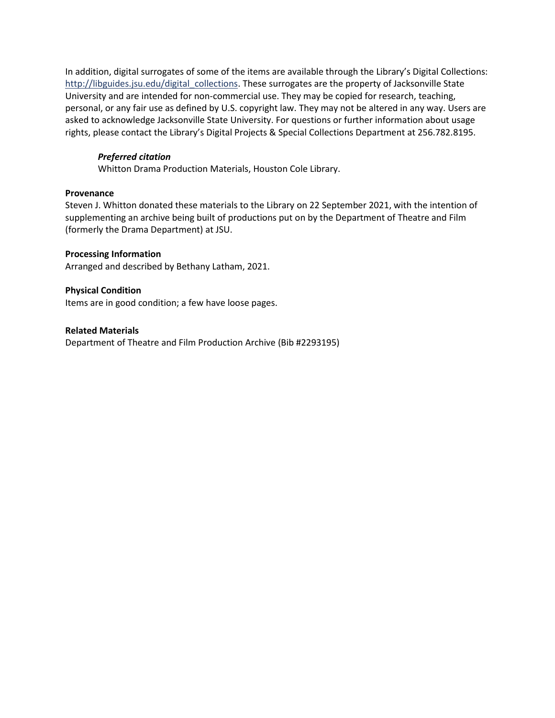In addition, digital surrogates of some of the items are available through the Library's Digital Collections: [http://libguides.jsu.edu/digital\\_collections.](http://libguides.jsu.edu/digital_collections) These surrogates are the property of Jacksonville State University and are intended for non-commercial use. They may be copied for research, teaching, personal, or any fair use as defined by U.S. copyright law. They may not be altered in any way. Users are asked to acknowledge Jacksonville State University. For questions or further information about usage rights, please contact the Library's Digital Projects & Special Collections Department at 256.782.8195.

### *Preferred citation*

Whitton Drama Production Materials, Houston Cole Library.

#### **Provenance**

Steven J. Whitton donated these materials to the Library on 22 September 2021, with the intention of supplementing an archive being built of productions put on by the Department of Theatre and Film (formerly the Drama Department) at JSU.

#### **Processing Information**

Arranged and described by Bethany Latham, 2021.

## **Physical Condition**

Items are in good condition; a few have loose pages.

#### **Related Materials**

Department of Theatre and Film Production Archive (Bib #2293195)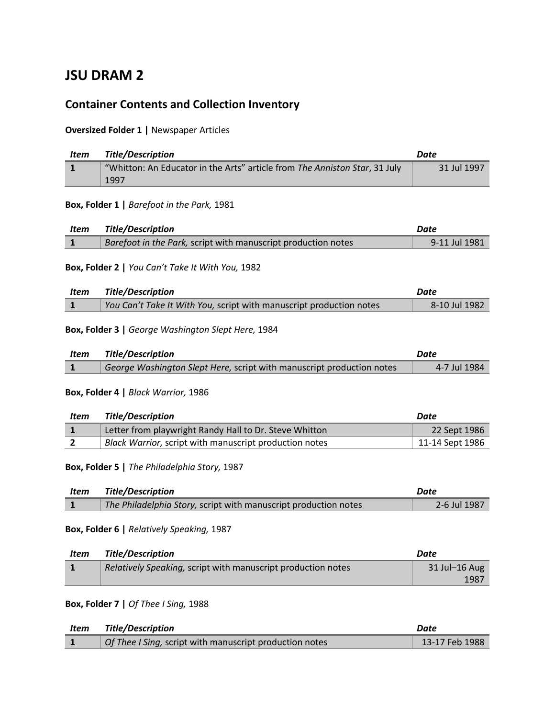# **JSU DRAM 2**

# **Container Contents and Collection Inventory**

### **Oversized Folder 1 |** Newspaper Articles

| Item | <b>Title/Description</b>                                                   | Date        |
|------|----------------------------------------------------------------------------|-------------|
|      | "Whitton: An Educator in the Arts" article from The Anniston Star, 31 July | 31 Jul 1997 |
|      | 1997                                                                       |             |

## **Box, Folder 1 |** *Barefoot in the Park,* 1981

| Item | <b>Title/Description</b>                                      | Date          |
|------|---------------------------------------------------------------|---------------|
|      | Barefoot in the Park, script with manuscript production notes | 9-11 Jul 1981 |

### **Box, Folder 2 |** *You Can't Take It With You,* 1982

| Item | <b>Title/Description</b>                                            | Date          |
|------|---------------------------------------------------------------------|---------------|
|      | You Can't Take It With You, script with manuscript production notes | 8-10 Jul 1982 |

## **Box, Folder 3 |** *George Washington Slept Here,* 1984

| Item | Title/Description                                                     | Date         |
|------|-----------------------------------------------------------------------|--------------|
|      | George Washington Slept Here, script with manuscript production notes | 4-7 Jul 1984 |

### **Box, Folder 4 |** *Black Warrior,* 1986

| Item | <b>Title/Description</b>                               | Date            |
|------|--------------------------------------------------------|-----------------|
|      | Letter from playwright Randy Hall to Dr. Steve Whitton | 22 Sept 1986    |
|      | Black Warrior, script with manuscript production notes | 11-14 Sept 1986 |

**Box, Folder 5 |** *The Philadelphia Story,* 1987

| Item | <b>Title/Description</b>                                        | Date         |
|------|-----------------------------------------------------------------|--------------|
|      | The Philadelphia Story, script with manuscript production notes | 2-6 Jul 1987 |

**Box, Folder 6 |** *Relatively Speaking,* 1987

| Item | Title/Description                                            | Date            |
|------|--------------------------------------------------------------|-----------------|
|      | Relatively Speaking, script with manuscript production notes | $31$ Jul-16 Aug |
|      |                                                              | 1987            |

## **Box, Folder 7 |** *Of Thee I Sing,* 1988

| Item | Title/Description                                                     | Date                   |
|------|-----------------------------------------------------------------------|------------------------|
|      | $\int$ <i>Of Thee I Sing, script with manuscript production notes</i> | $\vert$ 13-17 Feb 1988 |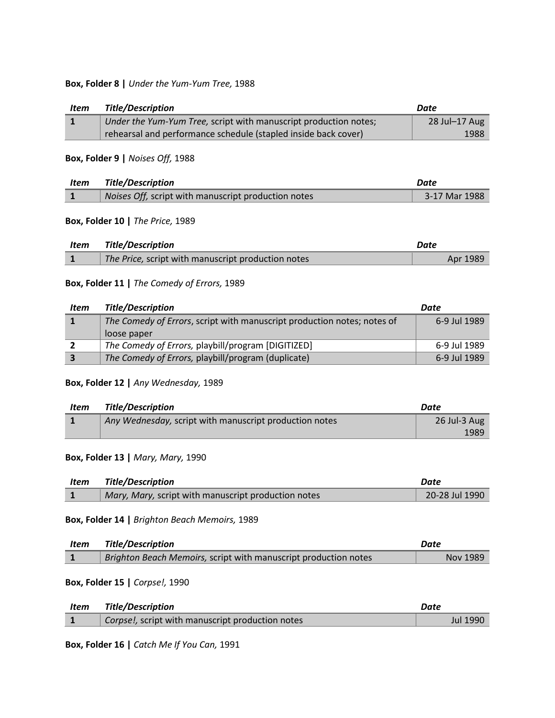#### **Box, Folder 8 |** *Under the Yum-Yum Tree,* 1988

| Item | <b>Title/Description</b>                                         | Date          |
|------|------------------------------------------------------------------|---------------|
|      | Under the Yum-Yum Tree, script with manuscript production notes; | 28 Jul-17 Aug |
|      | rehearsal and performance schedule (stapled inside back cover)   | 1988          |

#### **Box, Folder 9 |** *Noises Off,* 1988

| Item | <b>Title/Description</b>                            | Date          |
|------|-----------------------------------------------------|---------------|
|      | Noises Off, script with manuscript production notes | 3-17 Mar 1988 |

#### **Box, Folder 10 |** *The Price,* 1989

| Item | <b>Title/Description</b>                           | Date     |
|------|----------------------------------------------------|----------|
|      | The Price, script with manuscript production notes | Apr 1989 |

#### **Box, Folder 11 |** *The Comedy of Errors,* 1989

| Item | <b>Title/Description</b>                                                | Date         |
|------|-------------------------------------------------------------------------|--------------|
|      | The Comedy of Errors, script with manuscript production notes; notes of | 6-9 Jul 1989 |
|      | loose paper                                                             |              |
|      | The Comedy of Errors, playbill/program [DIGITIZED]                      | 6-9 Jul 1989 |
| 3    | The Comedy of Errors, playbill/program (duplicate)                      | 6-9 Jul 1989 |

## **Box, Folder 12 |** *Any Wednesday,* 1989

| Item | <b>Title/Description</b>                               | Date           |
|------|--------------------------------------------------------|----------------|
|      | Any Wednesday, script with manuscript production notes | $26$ Jul-3 Aug |
|      |                                                        | 1989           |

#### **Box, Folder 13 |** *Mary, Mary,* 1990

| Item | <b>Title/Description</b>                            | Date           |
|------|-----------------------------------------------------|----------------|
|      | Mary, Mary, script with manuscript production notes | 20-28 Jul 1990 |

#### **Box, Folder 14 |** *Brighton Beach Memoirs,* 1989

| Item | Title/Description                                               | Date     |
|------|-----------------------------------------------------------------|----------|
|      | Brighton Beach Memoirs, script with manuscript production notes | Nov 1989 |

#### **Box, Folder 15 |** *Corpse!,* 1990

| Item | <b>Title/Description</b>                         | Date            |
|------|--------------------------------------------------|-----------------|
|      | Corpse!, script with manuscript production notes | <b>Jul 1990</b> |

**Box, Folder 16 |** *Catch Me If You Can,* 1991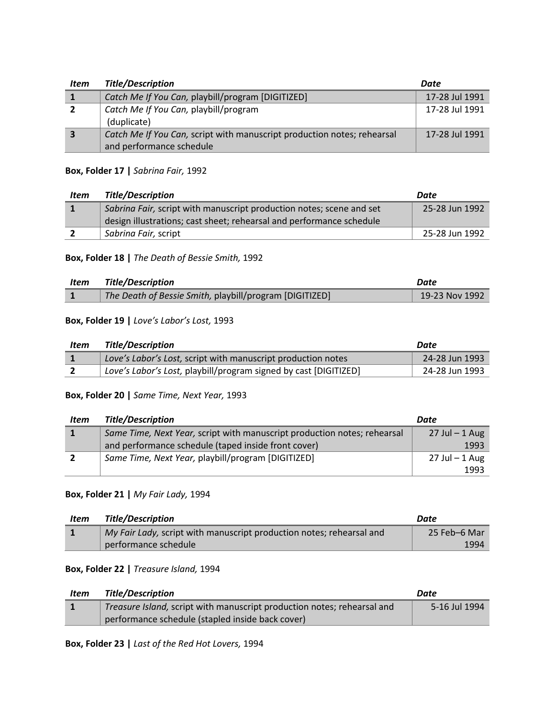| Item                    | <b>Title/Description</b>                                                | Date           |
|-------------------------|-------------------------------------------------------------------------|----------------|
|                         | Catch Me If You Can, playbill/program [DIGITIZED]                       | 17-28 Jul 1991 |
| $\overline{2}$          | Catch Me If You Can, playbill/program                                   | 17-28 Jul 1991 |
|                         | (duplicate)                                                             |                |
| $\overline{\mathbf{3}}$ | Catch Me If You Can, script with manuscript production notes; rehearsal | 17-28 Jul 1991 |
|                         | and performance schedule                                                |                |

## **Box, Folder 17 |** *Sabrina Fair,* 1992

| Item | <b>Title/Description</b>                                             | Date           |
|------|----------------------------------------------------------------------|----------------|
|      | Sabrina Fair, script with manuscript production notes; scene and set | 25-28 Jun 1992 |
|      | design illustrations; cast sheet; rehearsal and performance schedule |                |
|      | Sabrina Fair, script                                                 | 25-28 Jun 1992 |

## **Box, Folder 18 |** *The Death of Bessie Smith,* 1992

| Item | <b>Title/Description</b>                                | Date           |
|------|---------------------------------------------------------|----------------|
|      | The Death of Bessie Smith, playbill/program [DIGITIZED] | 19-23 Nov 1992 |

## **Box, Folder 19 |** *Love's Labor's Lost,* 1993

| Item | <b>Title/Description</b>                                         | Date           |
|------|------------------------------------------------------------------|----------------|
|      | Love's Labor's Lost, script with manuscript production notes     | 24-28 Jun 1993 |
|      | Love's Labor's Lost, playbill/program signed by cast [DIGITIZED] | 24-28 Jun 1993 |

## **Box, Folder 20 |** *Same Time, Next Year,* 1993

| Item | <b>Title/Description</b>                                                 | Date              |
|------|--------------------------------------------------------------------------|-------------------|
|      | Same Time, Next Year, script with manuscript production notes; rehearsal | $27$ Jul $-1$ Aug |
|      | and performance schedule (taped inside front cover)                      | 1993              |
|      | Same Time, Next Year, playbill/program [DIGITIZED]                       | $27$ Jul $-1$ Aug |
|      |                                                                          | 1993              |

### **Box, Folder 21 |** *My Fair Lady,* 1994

| Item | <b>Title/Description</b>                                             | Date         |
|------|----------------------------------------------------------------------|--------------|
|      | My Fair Lady, script with manuscript production notes; rehearsal and | 25 Feb-6 Mar |
|      | performance schedule                                                 | 1994         |

## **Box, Folder 22 |** *Treasure Island,* 1994

| Item | <b>Title/Description</b>                                                | Date          |
|------|-------------------------------------------------------------------------|---------------|
|      | Treasure Island, script with manuscript production notes; rehearsal and | 5-16 Jul 1994 |
|      | performance schedule (stapled inside back cover)                        |               |

#### **Box, Folder 23 |** *Last of the Red Hot Lovers,* 1994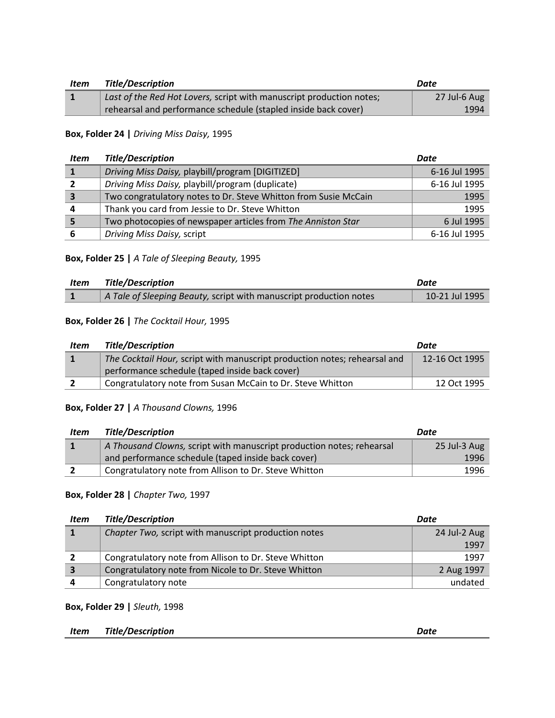| Item | <b>Title/Description</b>                                             | Date         |
|------|----------------------------------------------------------------------|--------------|
|      | Last of the Red Hot Lovers, script with manuscript production notes; | 27 Jul-6 Aug |
|      | rehearsal and performance schedule (stapled inside back cover)       | 1994         |

## **Box, Folder 24 |** *Driving Miss Daisy,* 1995

| Item                    | <b>Title/Description</b>                                        | Date          |
|-------------------------|-----------------------------------------------------------------|---------------|
|                         | Driving Miss Daisy, playbill/program [DIGITIZED]                | 6-16 Jul 1995 |
|                         | Driving Miss Daisy, playbill/program (duplicate)                | 6-16 Jul 1995 |
| $\overline{\mathbf{3}}$ | Two congratulatory notes to Dr. Steve Whitton from Susie McCain | 1995          |
|                         | Thank you card from Jessie to Dr. Steve Whitton                 | 1995          |
| 5                       | Two photocopies of newspaper articles from The Anniston Star    | 6 Jul 1995    |
|                         | Driving Miss Daisy, script                                      | 6-16 Jul 1995 |

## **Box, Folder 25 |** *A Tale of Sleeping Beauty,* 1995

| Item | <b>Title/Description</b>                                           | Date             |
|------|--------------------------------------------------------------------|------------------|
|      | A Tale of Sleeping Beauty, script with manuscript production notes | $10-21$ Jul 1995 |

### **Box, Folder 26 |** *The Cocktail Hour,* 1995

| Item | <b>Title/Description</b>                                                  | Date           |
|------|---------------------------------------------------------------------------|----------------|
|      | The Cocktail Hour, script with manuscript production notes; rehearsal and | 12-16 Oct 1995 |
|      | performance schedule (taped inside back cover)                            |                |
|      | Congratulatory note from Susan McCain to Dr. Steve Whitton                | 12 Oct 1995    |

#### **Box, Folder 27 |** *A Thousand Clowns,* 1996

| Item | <b>Title/Description</b>                                              | Date           |
|------|-----------------------------------------------------------------------|----------------|
|      | A Thousand Clowns, script with manuscript production notes; rehearsal | $25$ Jul-3 Aug |
|      | and performance schedule (taped inside back cover)                    | 1996           |
|      | Congratulatory note from Allison to Dr. Steve Whitton                 | 1996           |

## **Box, Folder 28 |** *Chapter Two,* 1997

| Item | <b>Title/Description</b>                              | Date         |
|------|-------------------------------------------------------|--------------|
|      | Chapter Two, script with manuscript production notes  | 24 Jul-2 Aug |
|      |                                                       | 1997         |
|      | Congratulatory note from Allison to Dr. Steve Whitton | 1997         |
| 3    | Congratulatory note from Nicole to Dr. Steve Whitton  | 2 Aug 1997   |
|      | Congratulatory note                                   | undated      |

#### **Box, Folder 29 |** *Sleuth,* 1998

| Item | Title/Description | Date |
|------|-------------------|------|
|------|-------------------|------|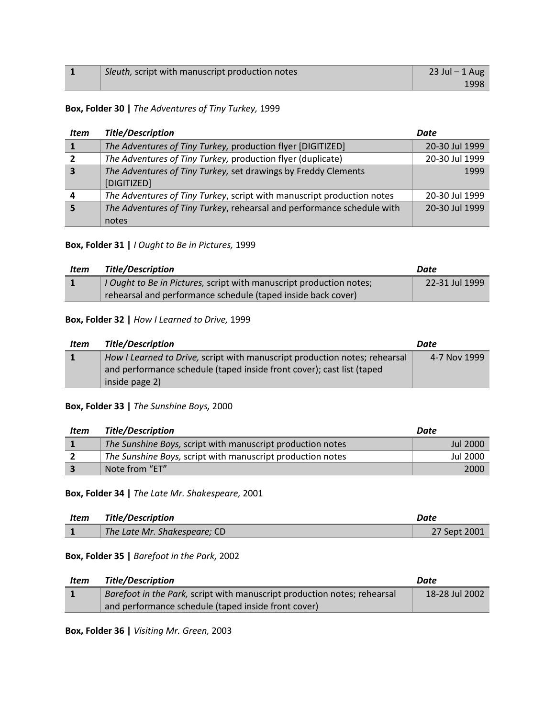| Sleuth, script with manuscript production notes | $23$ Jul $-1$ Aug |
|-------------------------------------------------|-------------------|
|                                                 | 1998              |

## **Box, Folder 30 |** *The Adventures of Tiny Turkey,* 1999

| Item                    | <b>Title/Description</b>                                                      | Date           |
|-------------------------|-------------------------------------------------------------------------------|----------------|
|                         | The Adventures of Tiny Turkey, production flyer [DIGITIZED]                   | 20-30 Jul 1999 |
|                         | The Adventures of Tiny Turkey, production flyer (duplicate)                   | 20-30 Jul 1999 |
| $\overline{\mathbf{3}}$ | The Adventures of Tiny Turkey, set drawings by Freddy Clements<br>[DIGITIZED] | 1999           |
| Δ                       | The Adventures of Tiny Turkey, script with manuscript production notes        | 20-30 Jul 1999 |
|                         | The Adventures of Tiny Turkey, rehearsal and performance schedule with        | 20-30 Jul 1999 |
|                         | notes                                                                         |                |

## **Box, Folder 31 |** *I Ought to Be in Pictures,* 1999

| Item | <b>Title/Description</b>                                            | Date           |
|------|---------------------------------------------------------------------|----------------|
|      | I Ought to Be in Pictures, script with manuscript production notes; | 22-31 Jul 1999 |
|      | rehearsal and performance schedule (taped inside back cover)        |                |

## **Box, Folder 32 |** *How I Learned to Drive,* 1999

| Item | <b>Title/Description</b>                                                   | Date         |
|------|----------------------------------------------------------------------------|--------------|
|      | How I Learned to Drive, script with manuscript production notes; rehearsal | 4-7 Nov 1999 |
|      | and performance schedule (taped inside front cover); cast list (taped      |              |
|      | inside page 2)                                                             |              |

# **Box, Folder 33 |** *The Sunshine Boys,* 2000

| Item         | <b>Title/Description</b>                                   | Date     |
|--------------|------------------------------------------------------------|----------|
|              | The Sunshine Boys, script with manuscript production notes | Jul 2000 |
|              | The Sunshine Boys, script with manuscript production notes | Jul 2000 |
| $\mathbf{3}$ | Note from "ET"                                             | 2000     |

## **Box, Folder 34 |** *The Late Mr. Shakespeare,* 2001

| Item | Title/Description            | Date         |
|------|------------------------------|--------------|
|      | The Late Mr. Shakespeare; CD | 27 Sept 2001 |

### **Box, Folder 35 |** *Barefoot in the Park,* 2002

| Item | <b>Title/Description</b>                                                 | Date           |
|------|--------------------------------------------------------------------------|----------------|
|      | Barefoot in the Park, script with manuscript production notes; rehearsal | 18-28 Jul 2002 |
|      | and performance schedule (taped inside front cover)                      |                |

**Box, Folder 36 |** *Visiting Mr. Green,* 2003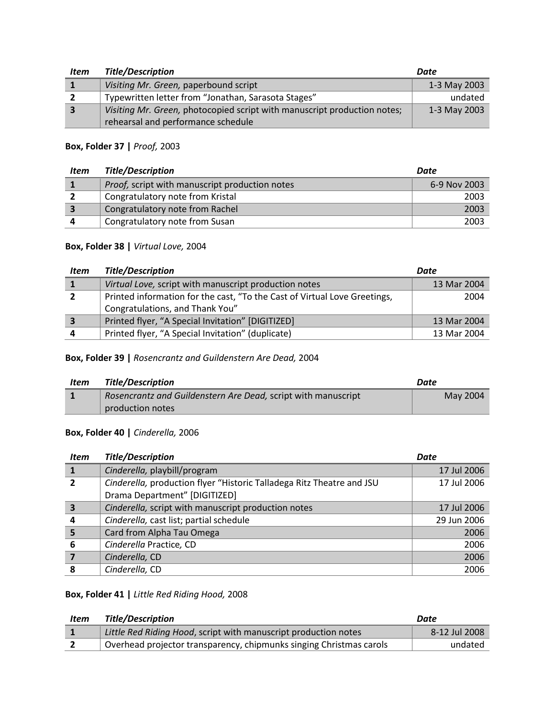| Item | <b>Title/Description</b>                                                 | Date         |
|------|--------------------------------------------------------------------------|--------------|
|      | Visiting Mr. Green, paperbound script                                    | 1-3 May 2003 |
|      | Typewritten letter from "Jonathan, Sarasota Stages"                      | undated      |
| 3    | Visiting Mr. Green, photocopied script with manuscript production notes; | 1-3 May 2003 |
|      | rehearsal and performance schedule                                       |              |

## **Box, Folder 37 |** *Proof,* 2003

| Item                    | Title/Description                              | Date         |
|-------------------------|------------------------------------------------|--------------|
|                         | Proof, script with manuscript production notes | 6-9 Nov 2003 |
|                         | Congratulatory note from Kristal               | 2003         |
| $\overline{\mathbf{3}}$ | Congratulatory note from Rachel                | 2003         |
|                         | Congratulatory note from Susan                 | 2003         |

# **Box, Folder 38 |** *Virtual Love,* 2004

| <b>Item</b>             | <b>Title/Description</b>                                                  | Date        |
|-------------------------|---------------------------------------------------------------------------|-------------|
|                         | Virtual Love, script with manuscript production notes                     | 13 Mar 2004 |
|                         | Printed information for the cast, "To the Cast of Virtual Love Greetings, | 2004        |
|                         | Congratulations, and Thank You"                                           |             |
| $\overline{\mathbf{3}}$ | Printed flyer, "A Special Invitation" [DIGITIZED]                         | 13 Mar 2004 |
| 4                       | Printed flyer, "A Special Invitation" (duplicate)                         | 13 Mar 2004 |

## **Box, Folder 39 |** *Rosencrantz and Guildenstern Are Dead,* 2004

| Item | <b>Title/Description</b>                                      | Date     |
|------|---------------------------------------------------------------|----------|
|      | Rosencrantz and Guildenstern Are Dead, script with manuscript | May 2004 |
|      | production notes                                              |          |

# **Box, Folder 40 |** *Cinderella,* 2006

| <b>Item</b>             | <b>Title/Description</b>                                              | <b>Date</b> |
|-------------------------|-----------------------------------------------------------------------|-------------|
|                         | Cinderella, playbill/program                                          | 17 Jul 2006 |
| $\mathbf{z}$            | Cinderella, production flyer "Historic Talladega Ritz Theatre and JSU | 17 Jul 2006 |
|                         | Drama Department" [DIGITIZED]                                         |             |
| $\overline{\mathbf{3}}$ | Cinderella, script with manuscript production notes                   | 17 Jul 2006 |
| 4                       | Cinderella, cast list; partial schedule                               | 29 Jun 2006 |
| 5                       | Card from Alpha Tau Omega                                             | 2006        |
| 6                       | Cinderella Practice, CD                                               | 2006        |
|                         | Cinderella, CD                                                        | 2006        |
| 8                       | Cinderella, CD                                                        | 2006        |

## **Box, Folder 41 |** *Little Red Riding Hood,* 2008

| Item | <b>Title/Description</b>                                            | Date          |
|------|---------------------------------------------------------------------|---------------|
|      | Little Red Riding Hood, script with manuscript production notes     | 8-12 Jul 2008 |
|      | Overhead projector transparency, chipmunks singing Christmas carols | undated       |